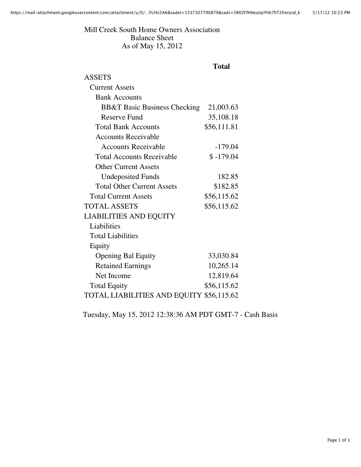Mill Creek South Home Owners Association Balance Sheet As of May 15, 2012

## **Total**

| ASSETS                                   |             |  |
|------------------------------------------|-------------|--|
| <b>Current Assets</b>                    |             |  |
| <b>Bank Accounts</b>                     |             |  |
| <b>BB&amp;T Basic Business Checking</b>  | 21,003.63   |  |
| Reserve Fund                             | 35,108.18   |  |
| <b>Total Bank Accounts</b>               | \$56,111.81 |  |
| <b>Accounts Receivable</b>               |             |  |
| <b>Accounts Receivable</b>               | $-179.04$   |  |
| <b>Total Accounts Receivable</b>         | $$ -179.04$ |  |
| <b>Other Current Assets</b>              |             |  |
| <b>Undeposited Funds</b>                 | 182.85      |  |
| <b>Total Other Current Assets</b>        | \$182.85    |  |
| <b>Total Current Assets</b>              | \$56,115.62 |  |
| <b>TOTAL ASSETS</b>                      | \$56,115.62 |  |
| <b>LIABILITIES AND EQUITY</b>            |             |  |
| Liabilities                              |             |  |
| <b>Total Liabilities</b>                 |             |  |
| Equity                                   |             |  |
| <b>Opening Bal Equity</b>                | 33,030.84   |  |
| <b>Retained Earnings</b>                 | 10,265.14   |  |
| Net Income                               | 12,819.64   |  |
| <b>Total Equity</b>                      | \$56,115.62 |  |
| TOTAL LIABILITIES AND EQUITY \$56,115.62 |             |  |

Tuesday, May 15, 2012 12:38:36 AM PDT GMT-7 - Cash Basis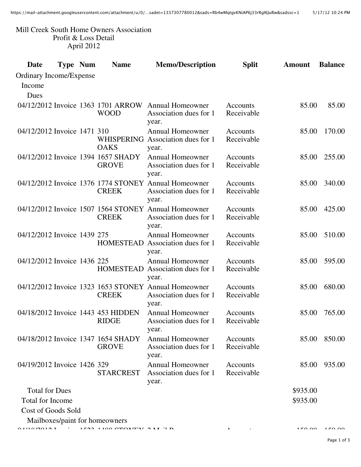## Mill Creek South Home Owners Association Profit & Loss Detail April 2012

| Date                           | <b>Type Num</b> | <b>Name</b>                                        | <b>Memo/Description</b>                                                        | <b>Split</b>                  | <b>Amount</b> | <b>Balance</b> |
|--------------------------------|-----------------|----------------------------------------------------|--------------------------------------------------------------------------------|-------------------------------|---------------|----------------|
| <b>Ordinary Income/Expense</b> |                 |                                                    |                                                                                |                               |               |                |
| Income                         |                 |                                                    |                                                                                |                               |               |                |
| Dues                           |                 |                                                    |                                                                                |                               |               |                |
|                                |                 | 04/12/2012 Invoice 1363 1701 ARROW                 | <b>Annual Homeowner</b>                                                        | Accounts                      | 85.00         | 85.00          |
|                                |                 | <b>WOOD</b>                                        | Association dues for 1<br>year.                                                | Receivable                    |               |                |
| 04/12/2012 Invoice 1471 310    |                 | <b>OAKS</b>                                        | <b>Annual Homeowner</b><br>WHISPERING Association dues for 1<br>year.          | <b>Accounts</b><br>Receivable | 85.00         | 170.00         |
|                                |                 | 04/12/2012 Invoice 1394 1657 SHADY<br><b>GROVE</b> | <b>Annual Homeowner</b><br>Association dues for 1<br>year.                     | Accounts<br>Receivable        | 85.00         | 255.00         |
|                                |                 | 04/12/2012 Invoice 1376 1774 STONEY                | <b>Annual Homeowner</b>                                                        | Accounts                      | 85.00         | 340.00         |
|                                |                 | <b>CREEK</b>                                       | Association dues for 1<br>year.                                                | Receivable                    |               |                |
|                                |                 | <b>CREEK</b>                                       | 04/12/2012 Invoice 1507 1564 STONEY Annual Homeowner<br>Association dues for 1 | Accounts<br>Receivable        | 85.00         | 425.00         |
|                                |                 |                                                    | year.                                                                          |                               |               |                |
| 04/12/2012 Invoice 1439 275    |                 |                                                    | <b>Annual Homeowner</b>                                                        | Accounts                      | 85.00         | 510.00         |
|                                |                 | <b>HOMESTEAD</b>                                   | Association dues for 1<br>year.                                                | Receivable                    |               |                |
| 04/12/2012 Invoice 1436 225    |                 |                                                    | <b>Annual Homeowner</b>                                                        | Accounts                      | 85.00         | 595.00         |
|                                |                 | <b>HOMESTEAD</b>                                   | Association dues for 1<br>year.                                                | Receivable                    |               |                |
|                                |                 | <b>CREEK</b>                                       | 04/12/2012 Invoice 1323 1653 STONEY Annual Homeowner<br>Association dues for 1 | Accounts<br>Receivable        | 85.00         | 680.00         |
|                                |                 |                                                    | year.                                                                          |                               |               |                |
|                                |                 | 04/18/2012 Invoice 1443 453 HIDDEN                 | <b>Annual Homeowner</b>                                                        | Accounts                      | 85.00         | 765.00         |
|                                |                 | <b>RIDGE</b>                                       | Association dues for 1<br>year.                                                | Receivable                    |               |                |
|                                |                 | 04/18/2012 Invoice 1347 1654 SHADY                 | <b>Annual Homeowner</b>                                                        | Accounts                      | 85.00         | 850.00         |
|                                |                 | <b>GROVE</b>                                       | Association dues for 1<br>year.                                                | Receivable                    |               |                |
| 04/19/2012 Invoice 1426 329    |                 | <b>STARCREST</b>                                   | <b>Annual Homeowner</b><br>Association dues for 1                              | Accounts<br>Receivable        | 85.00         | 935.00         |
|                                |                 |                                                    | year.                                                                          |                               |               |                |
| <b>Total for Dues</b>          |                 |                                                    |                                                                                |                               | \$935.00      |                |
| <b>Total for Income</b>        |                 |                                                    |                                                                                |                               | \$935.00      |                |
| Cost of Goods Sold             |                 |                                                    |                                                                                |                               |               |                |
|                                |                 | Mailboxes/paint for homeowners                     |                                                                                |                               |               |                |
|                                |                 |                                                    |                                                                                |                               |               | 150.00         |

Page 1 of 3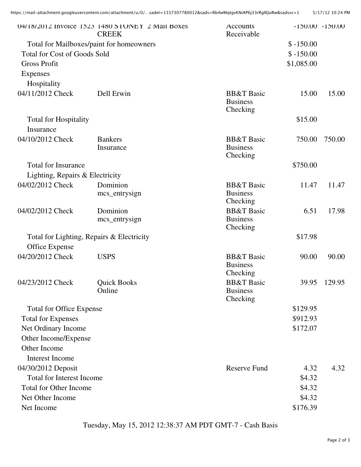|                                           | 04/18/2012 Invoice 1523 1480 STONEY 2 Mail Boxes<br><b>CREEK</b> | <b>Accounts</b><br>Receivable                        |             | $-150.00 - 150.00$ |
|-------------------------------------------|------------------------------------------------------------------|------------------------------------------------------|-------------|--------------------|
|                                           | Total for Mailboxes/paint for homeowners                         |                                                      | $$ -150.00$ |                    |
| <b>Total for Cost of Goods Sold</b>       |                                                                  |                                                      | $$ -150.00$ |                    |
| <b>Gross Profit</b>                       |                                                                  |                                                      | \$1,085.00  |                    |
| <b>Expenses</b>                           |                                                                  |                                                      |             |                    |
| Hospitality                               |                                                                  |                                                      |             |                    |
| 04/11/2012 Check                          | Dell Erwin                                                       | <b>BB&amp;T</b> Basic<br><b>Business</b><br>Checking | 15.00       | 15.00              |
| <b>Total for Hospitality</b><br>Insurance |                                                                  |                                                      | \$15.00     |                    |
| 04/10/2012 Check                          | <b>Bankers</b><br>Insurance                                      | <b>BB&amp;T</b> Basic<br><b>Business</b><br>Checking | 750.00      | 750.00             |
| <b>Total for Insurance</b>                |                                                                  |                                                      | \$750.00    |                    |
| Lighting, Repairs & Electricity           |                                                                  |                                                      |             |                    |
| 04/02/2012 Check                          | Dominion<br>mcs_entrysign                                        | <b>BB&amp;T</b> Basic<br><b>Business</b><br>Checking | 11.47       | 11.47              |
| 04/02/2012 Check                          | Dominion                                                         | <b>BB&amp;T</b> Basic                                | 6.51        | 17.98              |
|                                           | mcs_entrysign                                                    | <b>Business</b><br>Checking                          |             |                    |
|                                           | Total for Lighting, Repairs & Electricity                        |                                                      | \$17.98     |                    |
| Office Expense                            |                                                                  |                                                      |             |                    |
| 04/20/2012 Check                          | <b>USPS</b>                                                      | <b>BB&amp;T</b> Basic<br><b>Business</b><br>Checking | 90.00       | 90.00              |
| 04/23/2012 Check                          | <b>Quick Books</b><br>Online                                     | <b>BB&amp;T</b> Basic<br><b>Business</b><br>Checking | 39.95       | 129.95             |
| <b>Total for Office Expense</b>           |                                                                  |                                                      | \$129.95    |                    |
| <b>Total for Expenses</b>                 |                                                                  |                                                      | \$912.93    |                    |
| Net Ordinary Income                       |                                                                  |                                                      | \$172.07    |                    |
| Other Income/Expense                      |                                                                  |                                                      |             |                    |
| Other Income                              |                                                                  |                                                      |             |                    |
| <b>Interest Income</b>                    |                                                                  |                                                      |             |                    |
| 04/30/2012 Deposit                        |                                                                  | <b>Reserve Fund</b>                                  | 4.32        | 4.32               |
| <b>Total for Interest Income</b>          |                                                                  |                                                      | \$4.32      |                    |
| <b>Total for Other Income</b>             |                                                                  |                                                      | \$4.32      |                    |
| Net Other Income                          |                                                                  |                                                      | \$4.32      |                    |
| Net Income                                |                                                                  |                                                      | \$176.39    |                    |

Tuesday, May 15, 2012 12:38:37 AM PDT GMT-7 - Cash Basis